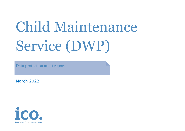# Child Maintenance Service (DWP)

Data protection audit report

March 2022

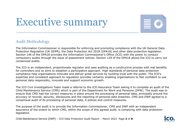# Executive summary



## Audit Methodology

The Information Commissioner is responsible for enforcing and promoting compliance with the UK General Data Protection Regulation (UK GDPR), the Data Protection Act 2018 (DPA18) and other data protection legislation. Section 146 of the DPA18 provides the Information Commissioner's Office (ICO) with the power to conduct compulsory audits through the issue of assessment notices. Section 129 of the DPA18 allows the ICO to carry out consensual audits.

The ICO is an independent, proportionate regulator and sees auditing as a constructive process with real benefits for controllers and so aims to establish a participative approach. High standards of personal data protection compliance help organisations innovate and deliver great services by building trust with the public. The ICO's expertise and consistent approach to regulation provides certainty enabling organisations to feel confident to use personal data responsibly, innovate and support economic growth.

The ICO Civil Investigations Team made a referral to the ICO Assurance Team asking it to complete an audit of the Child Maintenance Service (CMS) which is part of the Department for Work and Pensions (DPW). The audit was to ensure that CMS had the correct measures in place around the processing of personal data, principally around the accuracy of records, security, disclosures and the reporting of personal data breaches. CMS and DWP agreed to a consensual audit of its processing of personal data, it polices and control measures.

The purpose of the audit is to provide the Information Commissioner, CMS and DWP with an independent assurance of the extent to which CMS, within the scope of this agreed audit, is complying with data protection legislation.

Child Maintenance Service (DWP) – ICO Data Protection Audit Report – March 2022 Page **2** of **8**

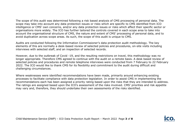The scope of this audit was determined following a risk based analysis of CMS processing of personal data. The scope may take into account any data protection issues or risks which are specific to CMS identified from ICO intelligence or CMS' own concerns, and/or any data protection issues or risks which affect their specific sector or organisations more widely. The ICO has further tailored the controls covered in each scope area to take into account the organisational structure of CMS, the nature and extent of CMS' processing of personal data, and to avoid duplication across scope areas. As such, the scope of this audit is unique to CMS.

Audits are conducted following the Information Commissioner's data protection audit methodology. The key elements of this are normally a desk-based review of selected policies and procedures, on-site visits including interviews with selected staff, and an inspection of selected records.

However, due to the outbreak of Covid -19, and the resulting restrictions on travel, this methodology was no longer appropriate. Therefore CMS agreed to continue with the audit on a remote basis. A desk based review of selected policies and procedures and remote telephone interviews were conducted from 7 February to 22 February 2022. The ICO would like to thank CMS for its flexibility and commitment to the audit during difficult and challenging circumstances.

Where weaknesses were identified recommendations have been made, primarily around enhancing existing processes to facilitate compliance with data protection legislation. In order to assist CMS in implementing the recommendations each has been assigned a priority rating based upon the risks that they are intended to address. The ratings are assigned based upon the ICO's assessment of the risks involved. CMS' priorities and risk appetite may vary and, therefore, they should undertake their own assessments of the risks identified.

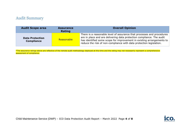#### Audit Summary

| <b>Audit Scope area</b>                     | <b>Assurance</b><br>Rating | <b>Overall Opinion</b>                                                                                                                                                                                                                                                                          |
|---------------------------------------------|----------------------------|-------------------------------------------------------------------------------------------------------------------------------------------------------------------------------------------------------------------------------------------------------------------------------------------------|
| <b>Data Protection</b><br><b>Compliance</b> | Reasonable                 | There is a reasonable level of assurance that processes and procedures<br>are in place and are delivering data protection compliance. The audit<br>has identified some scope for improvement in existing arrangements to<br>reduce the risk of non-compliance with data protection legislation. |

\*The assurance ratings above are reflective of the remote audit methodology deployed at this time and the rating may not necessarily represent a comprehensive assessment of compliance.

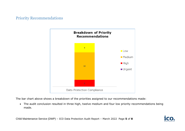# Priority Recommendations



The bar chart above shows a breakdown of the priorities assigned to our recommendations made:

• The audit conclusion resulted in three high, twelve medium and four low priority recommendations being made.

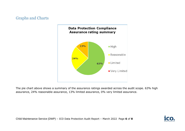## Graphs and Charts



The pie chart above shows a summary of the assurance ratings awarded across the audit scope. 63% high assurance, 24% reasonable assurance, 13% limited assurance, 0% very limited assurance.

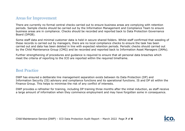#### Areas for Improvement

There are currently no formal central checks carried out to ensure business areas are complying with retention periods. Sample checks should be carried out by the Information Management and Compliance Team to ensure business areas are in compliance. Checks should be recorded and reported back to Data Protection Governance Board (DPGB).

Some staff data and minimal customer data is held in secure shared folders. Whilst staff confirmed that weeding of these records is carried out by managers, there are no local compliance checks to ensure the task has been carried out and data has been deleted in line with expected retention periods. Periodic checks should carried out by the Child Maintenance Group (CMG) and be recorded and reported back to Information Asset Managers (IAMs).

Further strengthening of procedures and guidance is required to ensure that all personal data breaches which meet the criteria of reporting to the ICO are reported within the required timeframe.

#### Best Practice

DWP has ensured a deliberate line management separation exists between its Data Protection (DP) and Information Security (IS) advisory and compliance functions and its operational functions. IS and DP sit within the Finance Group. This helps to minimise the risk of any conflict of interests.

DWP provides a refresher for training, including DP training three months after the initial induction, as staff receive a large amount of information when they commence employment and may have forgotten some in consequence.